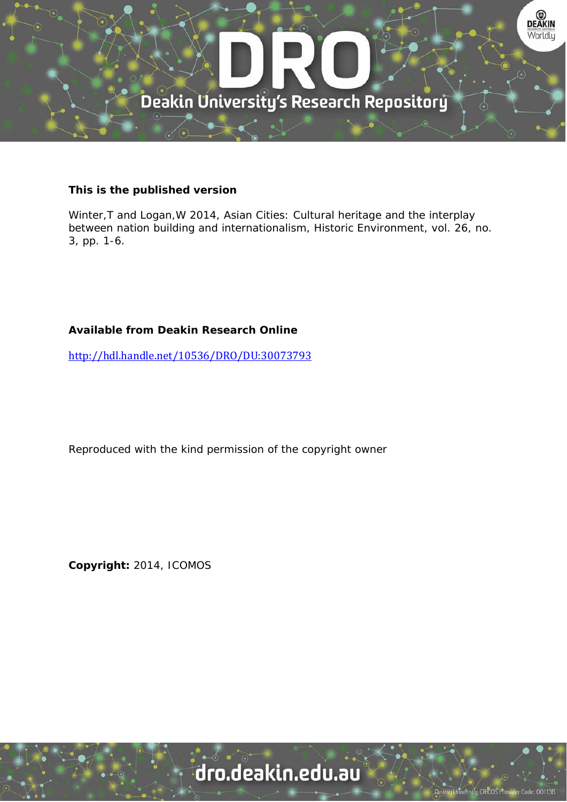

### **This is the published version**

Winter,T and Logan,W 2014, Asian Cities: Cultural heritage and the interplay between nation building and internationalism, Historic Environment, vol. 26, no. 3, pp. 1-6.

## **Available from Deakin Research Online**

http://hdl.handle.net/10536/DRO/DU:30073793

Reproduced with the kind permission of the copyright owner

**Copyright:** 2014, ICOMOS

# dro.deakin.edu.au

University CRICOS Pro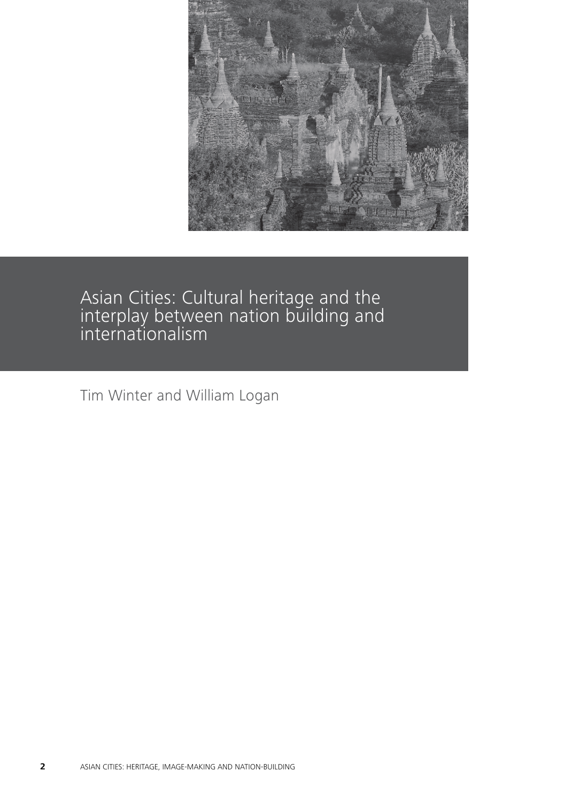

Asian Cities: Cultural heritage and the interplay between nation building and internationalism

Tim Winter and William Logan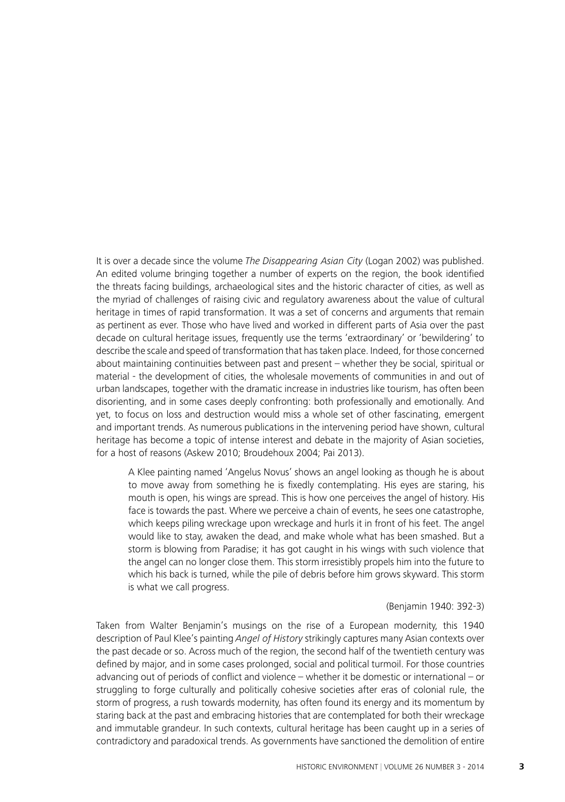It is over a decade since the volume The Disappearing Asian City (Logan 2002) was published. An edited volume bringing together a number of experts on the region, the book identified the threats facing buildings, archaeological sites and the historic character of cities, as well as the myriad of challenges of raising civic and regulatory awareness about the value of cultural heritage in times of rapid transformation. It was a set of concerns and arguments that remain as pertinent as ever. Those who have lived and worked in different parts of Asia over the past decade on cultural heritage issues, frequently use the terms 'extraordinary' or 'bewildering' to describe the scale and speed of transformation that hastaken place. Indeed, for those concerned about maintaining continuities between past and present – whether they be social, spiritual or material - the development of cities, the wholesale movements of communities in and out of urban landscapes, together with the dramatic increase in industries like tourism, has often been disorienting, and in some cases deeply confronting: both professionally and emotionally. And yet, to focus on loss and destruction would miss a whole set of other fascinating, emergent and important trends. As numerous publications in the intervening period have shown, cultural heritage has become a topic of intense interest and debate in the majority of Asian societies, for a host of reasons (Askew 2010; Broudehoux 2004; Pai 2013).

A Klee painting named 'Angelus Novus' shows an angel looking as though he is about to move away from something he is fixedly contemplating. His eyes are staring, his mouth is open, his wings are spread. This is how one perceives the angel of history. His face is towards the past. Where we perceive a chain of events, he sees one catastrophe, which keeps piling wreckage upon wreckage and hurls it in front of his feet. The angel would like to stay, awaken the dead, and make whole what has been smashed. But a storm is blowing from Paradise; it has got caught in his wings with such violence that the angel can no longer close them. This storm irresistibly propels him into the future to which his back is turned, while the pile of debris before him grows skyward. This storm is what we call progress.

### (Benjamin 1940: 392-3)

Taken from Walter Benjamin's musings on the rise of a European modernity, this 1940 description of Paul Klee's painting Angel of History strikingly captures many Asian contexts over the past decade or so. Across much of the region, the second half of the twentieth century was defined by major, and in some cases prolonged, social and political turmoil. For those countries advancing out of periods of conflict and violence – whether it be domestic or international – or struggling to forge culturally and politically cohesive societies after eras of colonial rule, the storm of progress, a rush towards modernity, has often found its energy and its momentum by staring back at the past and embracing histories that are contemplated for both their wreckage and immutable grandeur. In such contexts, cultural heritage has been caught up in a series of contradictory and paradoxical trends. As governments have sanctioned the demolition of entire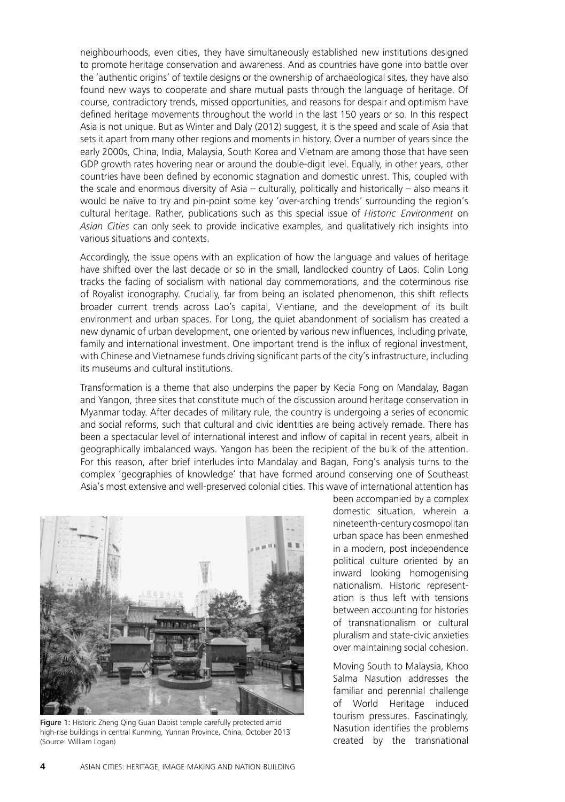neighbourhoods, even cities, they have simultaneously established new institutions designed to promote heritage conservation and awareness. And as countries have gone into battle over the 'authentic origins' of textile designs or the ownership of archaeological sites, they have also found new ways to cooperate and share mutual pasts through the language of heritage. Of course, contradictory trends, missed opportunities, and reasons for despair and optimism have defined heritage movements throughout the world in the last 150 years or so. In this respect Asia is not unique. But as Winter and Daly (2012) suggest, it is the speed and scale of Asia that sets it apart from many other regions and moments in history. Over a number of years since the early 2000s, China, India, Malaysia, South Korea and Vietnam are among those that have seen GDP growth rates hovering near or around the double-digit level. Equally, in other years, other countries have been defined by economic stagnation and domestic unrest. This, coupled with the scale and enormous diversity of Asia – culturally, politically and historically – also means it would be naïve to try and pin-point some key 'over-arching trends' surrounding the region's cultural heritage. Rather, publications such as this special issue of Historic Environment on Asian Cities can only seek to provide indicative examples, and qualitatively rich insights into various situations and contexts.

Accordingly, the issue opens with an explication of how the language and values of heritage have shifted over the last decade or so in the small, landlocked country of Laos. Colin Long tracks the fading of socialism with national day commemorations, and the coterminous rise of Royalist iconography. Crucially, far from being an isolated phenomenon, this shift reflects broader current trends across Lao's capital, Vientiane, and the development of its built environment and urban spaces. For Long, the quiet abandonment of socialism has created a new dynamic of urban development, one oriented by various new influences, including private, family and international investment. One important trend is the influx of regional investment, with Chinese and Vietnamese funds driving significant parts of the city's infrastructure, including its museums and cultural institutions.

Transformation is a theme that also underpins the paper by Kecia Fong on Mandalay, Bagan and Yangon, three sites that constitute much of the discussion around heritage conservation in Myanmar today. After decades of military rule, the country is undergoing a series of economic and social reforms, such that cultural and civic identities are being actively remade. There has been a spectacular level of international interest and inflow of capital in recent years, albeit in geographically imbalanced ways. Yangon has been the recipient of the bulk of the attention. For this reason, after brief interludes into Mandalay and Bagan, Fong's analysis turns to the complex 'geographies of knowledge' that have formed around conserving one of Southeast Asia's most extensive and well-preserved colonial cities. This wave of international attention has



Figure 1: Historic Zheng Qing Guan Daoist temple carefully protected amid high-rise buildings in central Kunming, Yunnan Province, China, October 2013 (Source: William Logan)

been accompanied by a complex domestic situation, wherein a nineteenth-century cosmopolitan urban space has been enmeshed in a modern, post independence political culture oriented by an inward looking homogenising nationalism. Historic representation is thus left with tensions between accounting for histories of transnationalism or cultural pluralism and state-civic anxieties over maintaining social cohesion.

Moving South to Malaysia, Khoo Salma Nasution addresses the familiar and perennial challenge of World Heritage induced tourism pressures. Fascinatingly, Nasution identifies the problems created by the transnational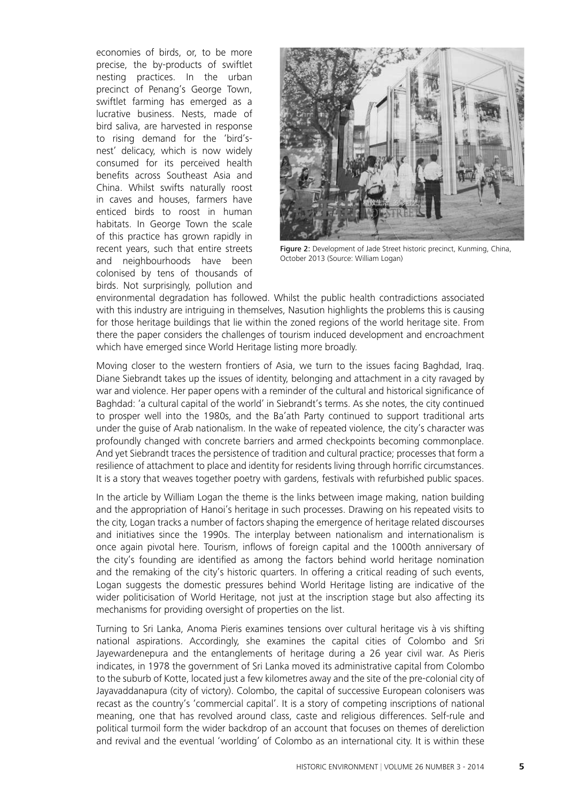economies of birds, or, to be more precise, the by-products of swiftlet nesting practices. In the urban precinct of Penang's George Town, swiftlet farming has emerged as a lucrative business. Nests, made of bird saliva, are harvested in response to rising demand for the 'bird'snest' delicacy, which is now widely consumed for its perceived health benefits across Southeast Asia and China. Whilst swifts naturally roost in caves and houses, farmers have enticed birds to roost in human habitats. In George Town the scale of this practice has grown rapidly in recent years, such that entire streets and neighbourhoods have been colonised by tens of thousands of birds. Not surprisingly, pollution and



Figure 2: Development of Jade Street historic precinct, Kunming, China, October 2013 (Source: William Logan)

environmental degradation has followed. Whilst the public health contradictions associated with this industry are intriguing in themselves, Nasution highlights the problems this is causing for those heritage buildings that lie within the zoned regions of the world heritage site. From there the paper considers the challenges of tourism induced development and encroachment which have emerged since World Heritage listing more broadly.

Moving closer to the western frontiers of Asia, we turn to the issues facing Baghdad, Iraq. Diane Siebrandt takes up the issues of identity, belonging and attachment in a city ravaged by war and violence. Her paper opens with a reminder of the cultural and historical significance of Baghdad: 'a cultural capital of the world' in Siebrandt's terms. As she notes, the city continued to prosper well into the 1980s, and the Ba'ath Party continued to support traditional arts under the guise of Arab nationalism. In the wake of repeated violence, the city's character was profoundly changed with concrete barriers and armed checkpoints becoming commonplace. And yet Siebrandt traces the persistence of tradition and cultural practice; processes that form a resilience of attachment to place and identity for residents living through horrific circumstances. It is a story that weaves together poetry with gardens, festivals with refurbished public spaces.

In the article by William Logan the theme is the links between image making, nation building and the appropriation of Hanoi's heritage in such processes. Drawing on his repeated visits to the city, Logan tracks a number of factors shaping the emergence of heritage related discourses and initiatives since the 1990s. The interplay between nationalism and internationalism is once again pivotal here. Tourism, inflows of foreign capital and the 1000th anniversary of the city's founding are identified as among the factors behind world heritage nomination and the remaking of the city's historic quarters. In offering a critical reading of such events, Logan suggests the domestic pressures behind World Heritage listing are indicative of the wider politicisation of World Heritage, not just at the inscription stage but also affecting its mechanisms for providing oversight of properties on the list.

Turning to Sri Lanka, Anoma Pieris examines tensions over cultural heritage vis à vis shifting national aspirations. Accordingly, she examines the capital cities of Colombo and Sri Jayewardenepura and the entanglements of heritage during a 26 year civil war. As Pieris indicates, in 1978 the government of Sri Lanka moved its administrative capital from Colombo to the suburb of Kotte, located just a few kilometres away and the site of the pre-colonial city of Jayavaddanapura (city of victory). Colombo, the capital of successive European colonisers was recast as the country's 'commercial capital'. It is a story of competing inscriptions of national meaning, one that has revolved around class, caste and religious differences. Self-rule and political turmoil form the wider backdrop of an account that focuses on themes of dereliction and revival and the eventual 'worlding' of Colombo as an international city. It is within these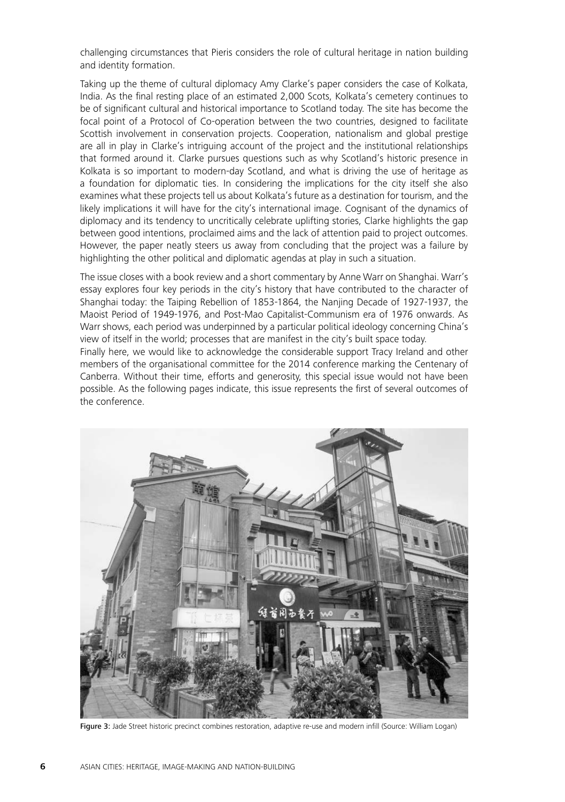challenging circumstances that Pieris considers the role of cultural heritage in nation building and identity formation.

Taking up the theme of cultural diplomacy Amy Clarke's paper considers the case of Kolkata, India. As the final resting place of an estimated 2,000 Scots, Kolkata's cemetery continues to be of significant cultural and historical importance to Scotland today. The site has become the focal point of a Protocol of Co-operation between the two countries, designed to facilitate Scottish involvement in conservation projects. Cooperation, nationalism and global prestige are all in play in Clarke's intriguing account of the project and the institutional relationships that formed around it. Clarke pursues questions such as why Scotland's historic presence in Kolkata is so important to modern-day Scotland, and what is driving the use of heritage as a foundation for diplomatic ties. In considering the implications for the city itself she also examines what these projects tell us about Kolkata's future as a destination for tourism, and the likely implications it will have for the city's international image. Cognisant of the dynamics of diplomacy and its tendency to uncritically celebrate uplifting stories, Clarke highlights the gap between good intentions, proclaimed aims and the lack of attention paid to project outcomes. However, the paper neatly steers us away from concluding that the project was a failure by highlighting the other political and diplomatic agendas at play in such a situation.

The issue closes with a book review and a short commentary by Anne Warr on Shanghai. Warr's essay explores four key periods in the city's history that have contributed to the character of Shanghai today: the Taiping Rebellion of 1853-1864, the Nanjing Decade of 1927-1937, the Maoist Period of 1949-1976, and Post-Mao Capitalist-Communism era of 1976 onwards. As Warr shows, each period was underpinned by a particular political ideology concerning China's view of itself in the world; processes that are manifest in the city's built space today. Finally here, we would like to acknowledge the considerable support Tracy Ireland and other members of the organisational committee for the 2014 conference marking the Centenary of Canberra. Without their time, efforts and generosity, this special issue would not have been possible. As the following pages indicate, this issue represents the first of several outcomes of the conference.



Figure 3: Jade Street historic precinct combines restoration, adaptive re-use and modern infill (Source: William Logan)